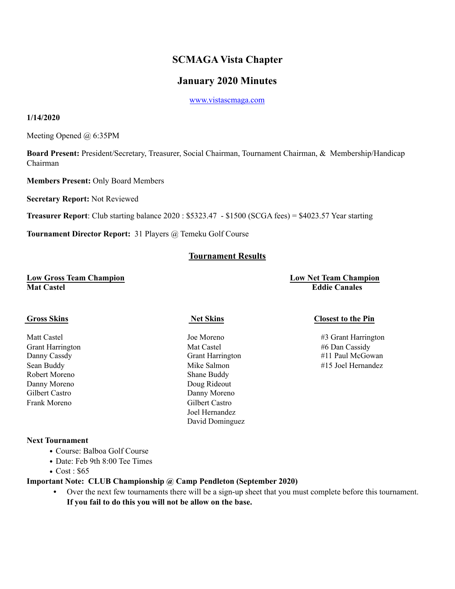# **SCMAGA Vista Chapter**

## **January 2020 Minutes**

[www.vistascmaga.com](http://www.vistascmaga.com)

#### **1/14/2020**

Meeting Opened @ 6:35PM

**Board Present:** President/Secretary, Treasurer, Social Chairman, Tournament Chairman, & Membership/Handicap Chairman

**Members Present:** Only Board Members

**Secretary Report:** Not Reviewed

**Treasurer Report**: Club starting balance 2020 : \$5323.47 - \$1500 (SCGA fees) = \$4023.57 Year starting

**Tournament Director Report:** 31 Players @ Temeku Golf Course

## **Tournament Results**

#### **Low Gross Team Champion Low Net Team Champion Mat Castel Eddie Canales**

Grant Harrington **Mat Castel #6 Dan Cassidy** Mat Castel #6 Dan Cassidy Robert Moreno Shane Buddy Danny Moreno Doug Rideout Danny Moreno Frank Moreno Gilbert Castro Joel Hernandez David Dominguez

#### **Cross Skins Closest to the Pin**

Matt Castel **Matt Castel** Joe Moreno **1988** Harrington **43** Grant Harrington Danny Cassdy Grant Harrington #11 Paul McGowan Sean Buddy **Sean Buddy Mike Salmon Mike Salmon** #15 Joel Hernandez

#### **Next Tournament**

- Course: Balboa Golf Course
- Date: Feb 9th 8:00 Tee Times
- Cost : \$65

### **Important Note: CLUB Championship @ Camp Pendleton (September 2020)**

**•** Over the next few tournaments there will be a sign-up sheet that you must complete before this tournament. **If you fail to do this you will not be allow on the base.**